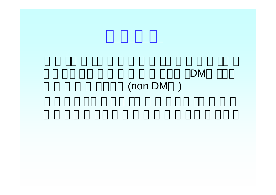## DM (non DM )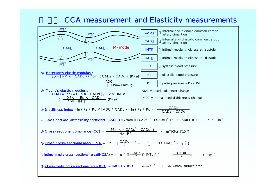## CCA measurement and Elasticity measurements

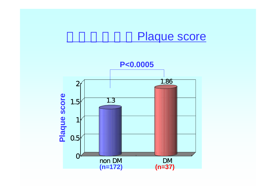

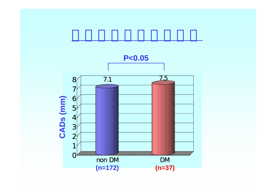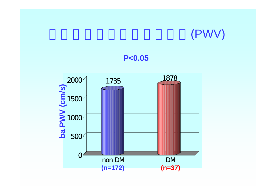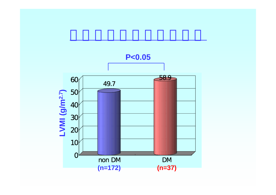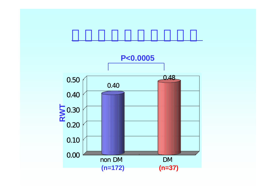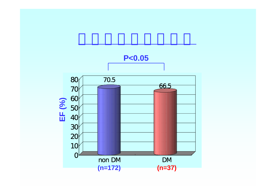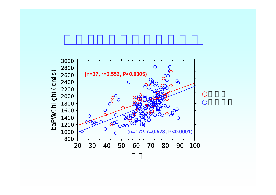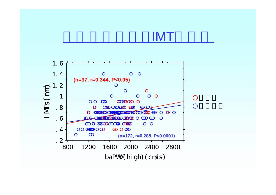## IMT

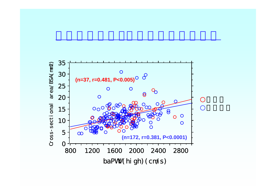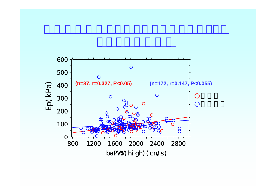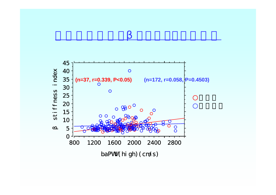![](_page_13_Figure_0.jpeg)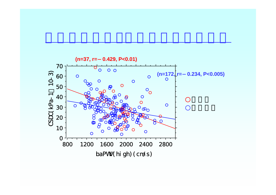![](_page_14_Figure_0.jpeg)